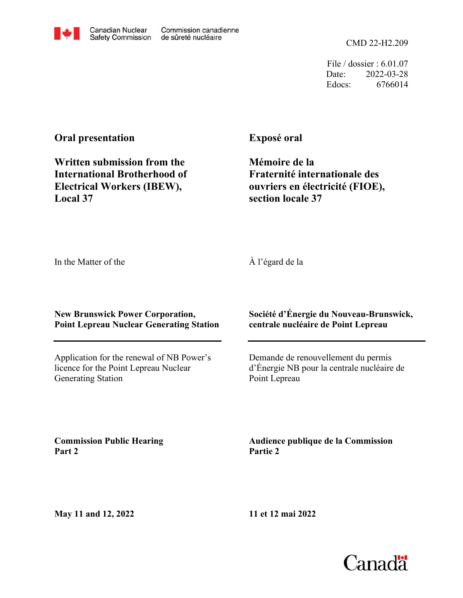CMD 22-H2.209

File / dossier : 6.01.07 Date: 2022-03-28 Edocs: 6766014

# **Oral presentation**

**Written submission from the International Brotherhood of Electrical Workers (IBEW), Local 37**

Canadian Nuclear

**Exposé oral**

**Mémoire de la Fraternité internationale des ouvriers en électricité (FIOE), section locale 37**

In the Matter of the

À l'égard de la

## **New Brunswick Power Corporation, Point Lepreau Nuclear Generating Station**

Application for the renewal of NB Power's licence for the Point Lepreau Nuclear Generating Station

## **Société d'Énergie du Nouveau-Brunswick, centrale nucléaire de Point Lepreau**

Demande de renouvellement du permis d'Énergie NB pour la centrale nucléaire de Point Lepreau

**Commission Public Hearing Part 2**

**Audience publique de la Commission Partie 2**

**May 11 and 12, 2022**

**11 et 12 mai 2022**



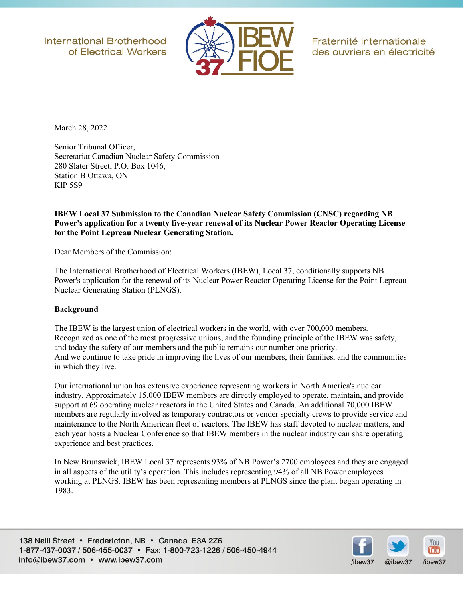**International Brotherhood** of Electrical Workers



Fraternité internationale des ouvriers en électricité

March 28, 2022

Senior Tribunal Officer, Secretariat Canadian Nuclear Safety Commission 280 Slater Street, P.O. Box 1046, Station B Ottawa, ON KlP 5S9

#### **IBEW Local 37 Submission to the Canadian Nuclear Safety Commission (CNSC) regarding NB Power's application for a twenty five-year renewal of its Nuclear Power Reactor Operating License for the Point Lepreau Nuclear Generating Station.**

Dear Members of the Commission:

The International Brotherhood of Electrical Workers (IBEW), Local 37, conditionally supports NB Power's application for the renewal of its Nuclear Power Reactor Operating License for the Point Lepreau Nuclear Generating Station (PLNGS).

#### **Background**

The IBEW is the largest union of electrical workers in the world, with over 700,000 members. Recognized as one of the most progressive unions, and the founding principle of the IBEW was safety, and today the safety of our members and the public remains our number one priority. And we continue to take pride in improving the lives of our members, their families, and the communities in which they live.

Our international union has extensive experience representing workers in North America's nuclear industry. Approximately 15,000 IBEW members are directly employed to operate, maintain, and provide support at 69 operating nuclear reactors in the United States and Canada. An additional 70,000 IBEW members are regularly involved as temporary contractors or vender specialty crews to provide service and maintenance to the North American fleet of reactors. The IBEW has staff devoted to nuclear matters, and each year hosts a Nuclear Conference so that IBEW members in the nuclear industry can share operating experience and best practices.

In New Brunswick, IBEW Local 37 represents 93% of NB Power's 2700 employees and they are engaged in all aspects of the utility's operation. This includes representing 94% of all NB Power employees working at PLNGS. IBEW has been representing members at PLNGS since the plant began operating in 1983.

138 Neill Street • Fredericton, NB • Canada E3A 2Z6 1-877-437-0037 / 506-455-0037 · Fax: 1-800-723-1226 / 506-450-4944 info@ibew37.com • www.ibew37.com

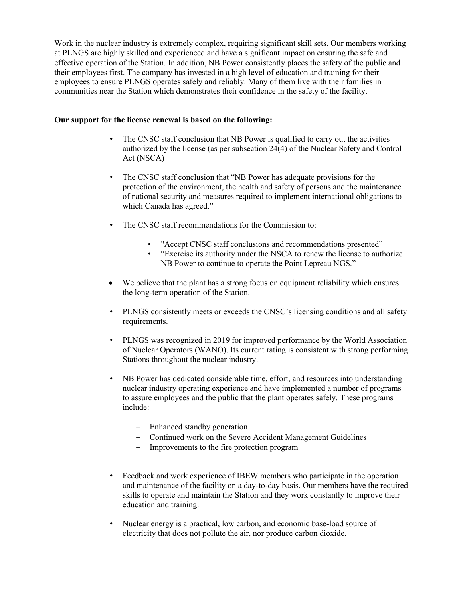Work in the nuclear industry is extremely complex, requiring significant skill sets. Our members working at PLNGS are highly skilled and experienced and have a significant impact on ensuring the safe and effective operation of the Station. In addition, NB Power consistently places the safety of the public and their employees first. The company has invested in a high level of education and training for their employees to ensure PLNGS operates safely and reliably. Many of them live with their families in communities near the Station which demonstrates their confidence in the safety of the facility.

#### **Our support for the license renewal is based on the following:**

- The CNSC staff conclusion that NB Power is qualified to carry out the activities authorized by the license (as per subsection 24(4) of the Nuclear Safety and Control Act (NSCA)
- The CNSC staff conclusion that "NB Power has adequate provisions for the protection of the environment, the health and safety of persons and the maintenance of national security and measures required to implement international obligations to which Canada has agreed."
- The CNSC staff recommendations for the Commission to:
	- "Accept CNSC staff conclusions and recommendations presented"
	- "Exercise its authority under the NSCA to renew the license to authorize NB Power to continue to operate the Point Lepreau NGS."
- We believe that the plant has a strong focus on equipment reliability which ensures the long-term operation of the Station.
- PLNGS consistently meets or exceeds the CNSC's licensing conditions and all safety requirements.
- PLNGS was recognized in 2019 for improved performance by the World Association of Nuclear Operators (WANO). Its current rating is consistent with strong performing Stations throughout the nuclear industry.
- NB Power has dedicated considerable time, effort, and resources into understanding nuclear industry operating experience and have implemented a number of programs to assure employees and the public that the plant operates safely. These programs include:
	- Enhanced standby generation
	- Continued work on the Severe Accident Management Guidelines
	- Improvements to the fire protection program
- Feedback and work experience of IBEW members who participate in the operation and maintenance of the facility on a day-to-day basis. Our members have the required skills to operate and maintain the Station and they work constantly to improve their education and training.
- Nuclear energy is a practical, low carbon, and economic base-load source of electricity that does not pollute the air, nor produce carbon dioxide.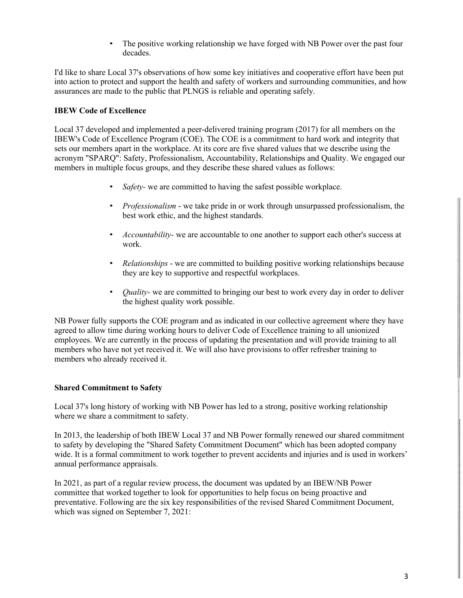The positive working relationship we have forged with NB Power over the past four decades.

I'd like to share Local 37's observations of how some key initiatives and cooperative effort have been put into action to protect and support the health and safety of workers and surrounding communities, and how assurances are made to the public that PLNGS is reliable and operating safely.

## **IBEW Code of Excellence**

Local 37 developed and implemented a peer-delivered training program (2017) for all members on the IBEW's Code of Excellence Program (COE). The COE is a commitment to hard work and integrity that sets our members apart in the workplace. At its core are five shared values that we describe using the acronym "SPARQ": Safety, Professionalism, Accountability, Relationships and Quality. We engaged our members in multiple focus groups, and they describe these shared values as follows:

- *Safety-* we are committed to having the safest possible workplace.
- *Professionalism*  we take pride in or work through unsurpassed professionalism, the best work ethic, and the highest standards.
- *Accountability-* we are accountable to one another to support each other's success at work.
- *Relationships*  we are committed to building positive working relationships because they are key to supportive and respectful workplaces.
- *Quality-* we are committed to bringing our best to work every day in order to deliver the highest quality work possible.

NB Power fully supports the COE program and as indicated in our collective agreement where they have agreed to allow time during working hours to deliver Code of Excellence training to all unionized employees. We are currently in the process of updating the presentation and will provide training to all members who have not yet received it. We will also have provisions to offer refresher training to members who already received it.

#### **Shared Commitment to Safety**

Local 37's long history of working with NB Power has led to a strong, positive working relationship where we share a commitment to safety.

In 2013, the leadership of both IBEW Local 37 and NB Power formally renewed our shared commitment to safety by developing the "Shared Safety Commitment Document" which has been adopted company wide. It is a formal commitment to work together to prevent accidents and injuries and is used in workers' annual performance appraisals.

In 2021, as part of a regular review process, the document was updated by an IBEW/NB Power committee that worked together to look for opportunities to help focus on being proactive and preventative. Following are the six key responsibilities of the revised Shared Commitment Document, which was signed on September 7, 2021: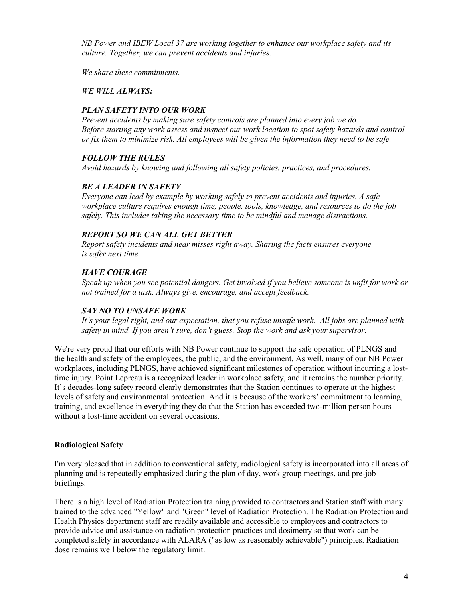*NB Power and IBEW Local 37 are working together to enhance our workplace safety and its culture. Together, we can prevent accidents and injuries.*

*We share these commitments.*

*WE WILL ALWAYS:*

## *PLAN SAFETY INTO OUR WORK*

*Prevent accidents by making sure safety controls are planned into every job we do. Before starting any work assess and inspect our work location to spot safety hazards and control or fix them to minimize risk. All employees will be given the information they need to be safe.* 

## *FOLLOW THE RULES*

*Avoid hazards by knowing and following all safety policies, practices, and procedures.* 

## *BE A LEADER IN SAFETY*

*Everyone can lead by example by working safely to prevent accidents and injuries. A safe workplace culture requires enough time, people, tools, knowledge, and resources to do the job safely. This includes taking the necessary time to be mindful and manage distractions.*

## *REPORT SO WE CAN ALL GET BETTER*

*Report safety incidents and near misses right away. Sharing the facts ensures everyone is safer next time.* 

## *HAVE COURAGE*

*Speak up when you see potential dangers. Get involved if you believe someone is unfit for work or not trained for a task. Always give, encourage, and accept feedback.*

#### *SAY NO TO UNSAFE WORK*

*It's your legal right, and our expectation, that you refuse unsafe work. All jobs are planned with safety in mind. If you aren't sure, don't guess. Stop the work and ask your supervisor.*

We're very proud that our efforts with NB Power continue to support the safe operation of PLNGS and the health and safety of the employees, the public, and the environment. As well, many of our NB Power workplaces, including PLNGS, have achieved significant milestones of operation without incurring a losttime injury. Point Lepreau is a recognized leader in workplace safety, and it remains the number priority. It's decades-long safety record clearly demonstrates that the Station continues to operate at the highest levels of safety and environmental protection. And it is because of the workers' commitment to learning, training, and excellence in everything they do that the Station has exceeded two-million person hours without a lost-time accident on several occasions.

## **Radiological Safety**

I'm very pleased that in addition to conventional safety, radiological safety is incorporated into all areas of planning and is repeatedly emphasized during the plan of day, work group meetings, and pre-job briefings.

There is a high level of Radiation Protection training provided to contractors and Station staff with many trained to the advanced "Yellow" and "Green" level of Radiation Protection. The Radiation Protection and Health Physics department staff are readily available and accessible to employees and contractors to provide advice and assistance on radiation protection practices and dosimetry so that work can be completed safely in accordance with ALARA ("as low as reasonably achievable") principles. Radiation dose remains well below the regulatory limit.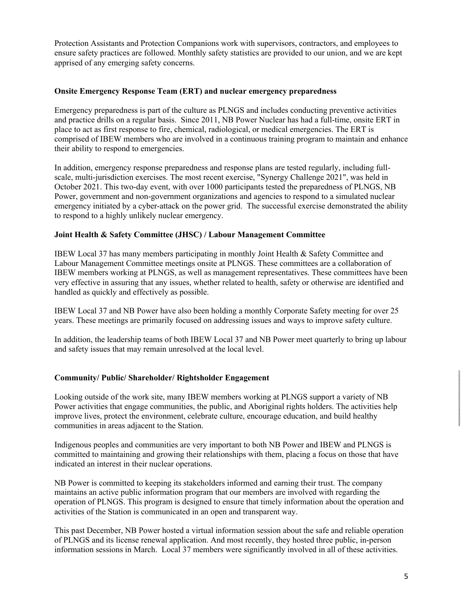Protection Assistants and Protection Companions work with supervisors, contractors, and employees to ensure safety practices are followed. Monthly safety statistics are provided to our union, and we are kept apprised of any emerging safety concerns.

#### **Onsite Emergency Response Team (ERT) and nuclear emergency preparedness**

Emergency preparedness is part of the culture as PLNGS and includes conducting preventive activities and practice drills on a regular basis. Since 2011, NB Power Nuclear has had a full-time, onsite ERT in place to act as first response to fire, chemical, radiological, or medical emergencies. The ERT is comprised of IBEW members who are involved in a continuous training program to maintain and enhance their ability to respond to emergencies.

In addition, emergency response preparedness and response plans are tested regularly, including fullscale, multi-jurisdiction exercises. The most recent exercise, "Synergy Challenge 2021", was held in October 2021. This two-day event, with over 1000 participants tested the preparedness of PLNGS, NB Power, government and non-government organizations and agencies to respond to a simulated nuclear emergency initiated by a cyber-attack on the power grid. The successful exercise demonstrated the ability to respond to a highly unlikely nuclear emergency.

#### **Joint Health & Safety Committee (JHSC) / Labour Management Committee**

IBEW Local 37 has many members participating in monthly Joint Health & Safety Committee and Labour Management Committee meetings onsite at PLNGS. These committees are a collaboration of IBEW members working at PLNGS, as well as management representatives. These committees have been very effective in assuring that any issues, whether related to health, safety or otherwise are identified and handled as quickly and effectively as possible.

IBEW Local 37 and NB Power have also been holding a monthly Corporate Safety meeting for over 25 years. These meetings are primarily focused on addressing issues and ways to improve safety culture.

In addition, the leadership teams of both IBEW Local 37 and NB Power meet quarterly to bring up labour and safety issues that may remain unresolved at the local level.

#### **Community/ Public/ Shareholder/ Rightsholder Engagement**

Looking outside of the work site, many IBEW members working at PLNGS support a variety of NB Power activities that engage communities, the public, and Aboriginal rights holders. The activities help improve lives, protect the environment, celebrate culture, encourage education, and build healthy communities in areas adjacent to the Station.

Indigenous peoples and communities are very important to both NB Power and IBEW and PLNGS is committed to maintaining and growing their relationships with them, placing a focus on those that have indicated an interest in their nuclear operations.

NB Power is committed to keeping its stakeholders informed and earning their trust. The company maintains an active public information program that our members are involved with regarding the operation of PLNGS. This program is designed to ensure that timely information about the operation and activities of the Station is communicated in an open and transparent way.

This past December, NB Power hosted a virtual information session about the safe and reliable operation of PLNGS and its license renewal application. And most recently, they hosted three public, in-person information sessions in March. Local 37 members were significantly involved in all of these activities.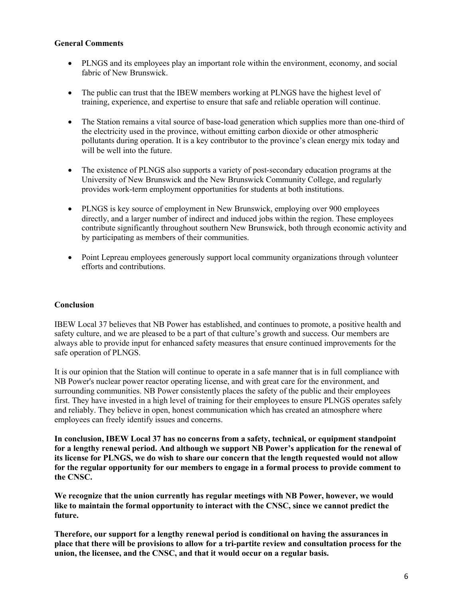#### **General Comments**

- PLNGS and its employees play an important role within the environment, economy, and social fabric of New Brunswick.
- The public can trust that the IBEW members working at PLNGS have the highest level of training, experience, and expertise to ensure that safe and reliable operation will continue.
- The Station remains a vital source of base-load generation which supplies more than one-third of the electricity used in the province, without emitting carbon dioxide or other atmospheric pollutants during operation. It is a key contributor to the province's clean energy mix today and will be well into the future.
- The existence of PLNGS also supports a variety of post-secondary education programs at the University of New Brunswick and the New Brunswick Community College, and regularly provides work-term employment opportunities for students at both institutions.
- PLNGS is key source of employment in New Brunswick, employing over 900 employees directly, and a larger number of indirect and induced jobs within the region. These employees contribute significantly throughout southern New Brunswick, both through economic activity and by participating as members of their communities.
- Point Lepreau employees generously support local community organizations through volunteer efforts and contributions.

## **Conclusion**

IBEW Local 37 believes that NB Power has established, and continues to promote, a positive health and safety culture, and we are pleased to be a part of that culture's growth and success. Our members are always able to provide input for enhanced safety measures that ensure continued improvements for the safe operation of PLNGS.

It is our opinion that the Station will continue to operate in a safe manner that is in full compliance with NB Power's nuclear power reactor operating license, and with great care for the environment, and surrounding communities. NB Power consistently places the safety of the public and their employees first. They have invested in a high level of training for their employees to ensure PLNGS operates safely and reliably. They believe in open, honest communication which has created an atmosphere where employees can freely identify issues and concerns.

**In conclusion, IBEW Local 37 has no concerns from a safety, technical, or equipment standpoint for a lengthy renewal period. And although we support NB Power's application for the renewal of its license for PLNGS, we do wish to share our concern that the length requested would not allow for the regular opportunity for our members to engage in a formal process to provide comment to the CNSC.**

**We recognize that the union currently has regular meetings with NB Power, however, we would like to maintain the formal opportunity to interact with the CNSC, since we cannot predict the future.**

**Therefore, our support for a lengthy renewal period is conditional on having the assurances in place that there will be provisions to allow for a tri-partite review and consultation process for the union, the licensee, and the CNSC, and that it would occur on a regular basis.**